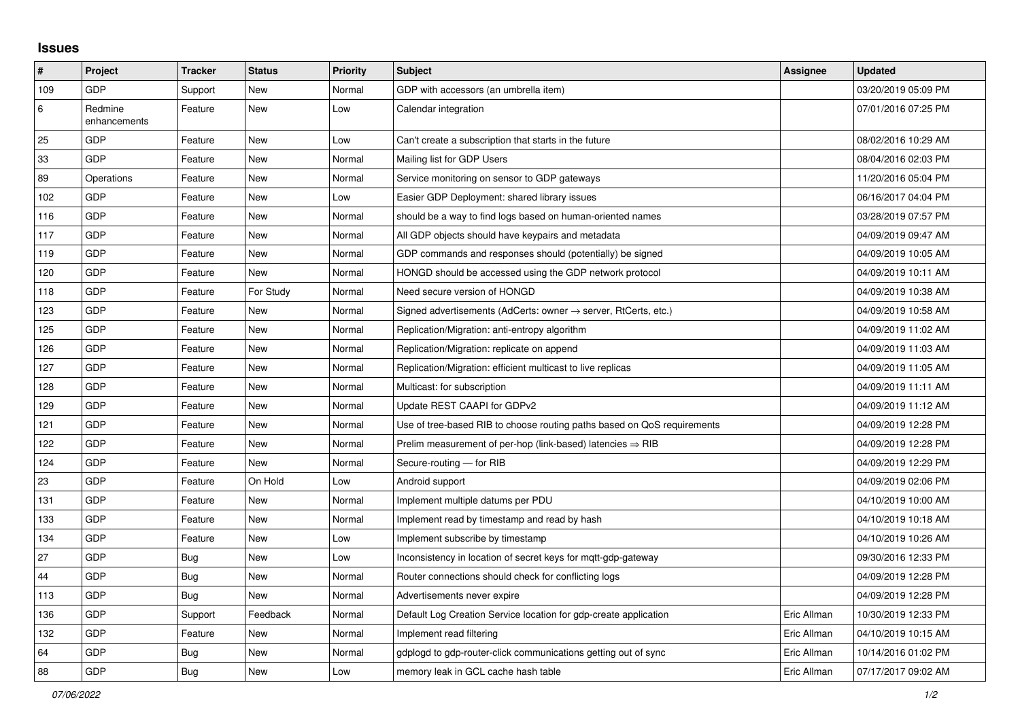## **Issues**

| #   | Project                 | <b>Tracker</b> | <b>Status</b> | <b>Priority</b> | <b>Subject</b>                                                             | <b>Assignee</b> | <b>Updated</b>      |
|-----|-------------------------|----------------|---------------|-----------------|----------------------------------------------------------------------------|-----------------|---------------------|
| 109 | <b>GDP</b>              | Support        | <b>New</b>    | Normal          | GDP with accessors (an umbrella item)                                      |                 | 03/20/2019 05:09 PM |
| 6   | Redmine<br>enhancements | Feature        | <b>New</b>    | Low             | Calendar integration                                                       |                 | 07/01/2016 07:25 PM |
| 25  | GDP                     | Feature        | <b>New</b>    | Low             | Can't create a subscription that starts in the future                      |                 | 08/02/2016 10:29 AM |
| 33  | GDP                     | Feature        | <b>New</b>    | Normal          | Mailing list for GDP Users                                                 |                 | 08/04/2016 02:03 PM |
| 89  | Operations              | Feature        | <b>New</b>    | Normal          | Service monitoring on sensor to GDP gateways                               |                 | 11/20/2016 05:04 PM |
| 102 | GDP                     | Feature        | <b>New</b>    | Low             | Easier GDP Deployment: shared library issues                               |                 | 06/16/2017 04:04 PM |
| 116 | GDP                     | Feature        | <b>New</b>    | Normal          | should be a way to find logs based on human-oriented names                 |                 | 03/28/2019 07:57 PM |
| 117 | GDP                     | Feature        | New           | Normal          | All GDP objects should have keypairs and metadata                          |                 | 04/09/2019 09:47 AM |
| 119 | GDP                     | Feature        | <b>New</b>    | Normal          | GDP commands and responses should (potentially) be signed                  |                 | 04/09/2019 10:05 AM |
| 120 | GDP                     | Feature        | <b>New</b>    | Normal          | HONGD should be accessed using the GDP network protocol                    |                 | 04/09/2019 10:11 AM |
| 118 | GDP                     | Feature        | For Study     | Normal          | Need secure version of HONGD                                               |                 | 04/09/2019 10:38 AM |
| 123 | GDP                     | Feature        | <b>New</b>    | Normal          | Signed advertisements (AdCerts: owner $\rightarrow$ server, RtCerts, etc.) |                 | 04/09/2019 10:58 AM |
| 125 | GDP                     | Feature        | <b>New</b>    | Normal          | Replication/Migration: anti-entropy algorithm                              |                 | 04/09/2019 11:02 AM |
| 126 | GDP                     | Feature        | New           | Normal          | Replication/Migration: replicate on append                                 |                 | 04/09/2019 11:03 AM |
| 127 | GDP                     | Feature        | New           | Normal          | Replication/Migration: efficient multicast to live replicas                |                 | 04/09/2019 11:05 AM |
| 128 | GDP                     | Feature        | <b>New</b>    | Normal          | Multicast: for subscription                                                |                 | 04/09/2019 11:11 AM |
| 129 | GDP                     | Feature        | <b>New</b>    | Normal          | Update REST CAAPI for GDPv2                                                |                 | 04/09/2019 11:12 AM |
| 121 | GDP                     | Feature        | <b>New</b>    | Normal          | Use of tree-based RIB to choose routing paths based on QoS requirements    |                 | 04/09/2019 12:28 PM |
| 122 | GDP                     | Feature        | New           | Normal          | Prelim measurement of per-hop (link-based) latencies $\Rightarrow$ RIB     |                 | 04/09/2019 12:28 PM |
| 124 | GDP                     | Feature        | <b>New</b>    | Normal          | Secure-routing - for RIB                                                   |                 | 04/09/2019 12:29 PM |
| 23  | GDP                     | Feature        | On Hold       | Low             | Android support                                                            |                 | 04/09/2019 02:06 PM |
| 131 | GDP                     | Feature        | <b>New</b>    | Normal          | Implement multiple datums per PDU                                          |                 | 04/10/2019 10:00 AM |
| 133 | GDP                     | Feature        | <b>New</b>    | Normal          | Implement read by timestamp and read by hash                               |                 | 04/10/2019 10:18 AM |
| 134 | GDP                     | Feature        | <b>New</b>    | Low             | Implement subscribe by timestamp                                           |                 | 04/10/2019 10:26 AM |
| 27  | GDP                     | <b>Bug</b>     | New           | Low             | Inconsistency in location of secret keys for mgtt-gdp-gateway              |                 | 09/30/2016 12:33 PM |
| 44  | GDP                     | <b>Bug</b>     | New           | Normal          | Router connections should check for conflicting logs                       |                 | 04/09/2019 12:28 PM |
| 113 | GDP                     | <b>Bug</b>     | <b>New</b>    | Normal          | Advertisements never expire                                                |                 | 04/09/2019 12:28 PM |
| 136 | GDP                     | Support        | Feedback      | Normal          | Default Log Creation Service location for gdp-create application           | Eric Allman     | 10/30/2019 12:33 PM |
| 132 | GDP                     | Feature        | New           | Normal          | Implement read filtering                                                   | Eric Allman     | 04/10/2019 10:15 AM |
| 64  | GDP                     | Bug            | New           | Normal          | gdplogd to gdp-router-click communications getting out of sync             | Eric Allman     | 10/14/2016 01:02 PM |
| 88  | GDP                     | <b>Bug</b>     | <b>New</b>    | Low             | memory leak in GCL cache hash table                                        | Eric Allman     | 07/17/2017 09:02 AM |